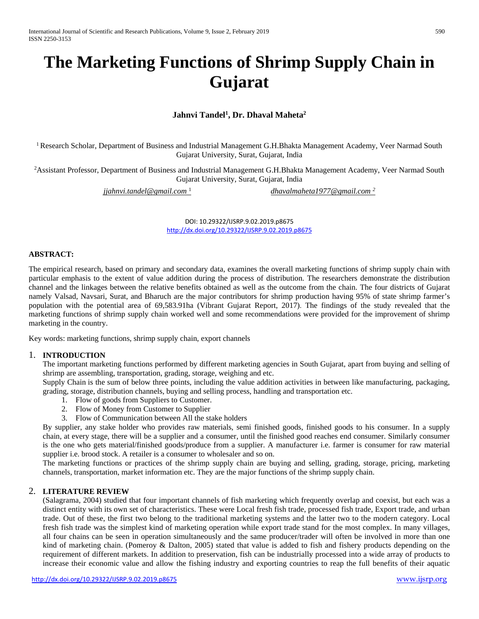# **The Marketing Functions of Shrimp Supply Chain in Gujarat**

## **Jahnvi Tandel1 , Dr. Dhaval Maheta2**

<sup>1</sup> Research Scholar, Department of Business and Industrial Management G.H.Bhakta Management Academy, Veer Narmad South Gujarat University, Surat, Gujarat, India

<sup>2</sup> Assistant Professor, Department of Business and Industrial Management G.H.Bhakta Management Academy, Veer Narmad South Gujarat University, Surat, Gujarat, India

*[jjahnvi.tandel@gmail.com](mailto:jjahnvi.tandel@gmail.com%201)* <sup>1</sup>

*[dhavalmaheta1977@gmail.com 2](mailto:dhavalmaheta1977@gmail.com%202)*

DOI: 10.29322/IJSRP.9.02.2019.p8675 <http://dx.doi.org/10.29322/IJSRP.9.02.2019.p8675>

## **ABSTRACT:**

The empirical research, based on primary and secondary data, examines the overall marketing functions of shrimp supply chain with particular emphasis to the extent of value addition during the process of distribution. The researchers demonstrate the distribution channel and the linkages between the relative benefits obtained as well as the outcome from the chain. The four districts of Gujarat namely Valsad, Navsari, Surat, and Bharuch are the major contributors for shrimp production having 95% of state shrimp farmer's population with the potential area of 69,583.91ha (Vibrant Gujarat Report, 2017). The findings of the study revealed that the marketing functions of shrimp supply chain worked well and some recommendations were provided for the improvement of shrimp marketing in the country.

Key words: marketing functions, shrimp supply chain, export channels

#### 1. **INTRODUCTION**

The important marketing functions performed by different marketing agencies in South Gujarat, apart from buying and selling of shrimp are assembling, transportation, grading, storage, weighing and etc.

Supply Chain is the sum of below three points, including the value addition activities in between like manufacturing, packaging, grading, storage, distribution channels, buying and selling process, handling and transportation etc.

- 1. Flow of goods from Suppliers to Customer.
- 2. Flow of Money from Customer to Supplier
- 3. Flow of Communication between All the stake holders

By supplier, any stake holder who provides raw materials, semi finished goods, finished goods to his consumer. In a supply chain, at every stage, there will be a supplier and a consumer, until the finished good reaches end consumer. Similarly consumer is the one who gets material/finished goods/produce from a supplier. A manufacturer i.e. farmer is consumer for raw material supplier i.e. brood stock. A retailer is a consumer to wholesaler and so on.

The marketing functions or practices of the shrimp supply chain are buying and selling, grading, storage, pricing, marketing channels, transportation, market information etc. They are the major functions of the shrimp supply chain.

#### 2. **LITERATURE REVIEW**

(Salagrama, 2004) studied that four important channels of fish marketing which frequently overlap and coexist, but each was a distinct entity with its own set of characteristics. These were Local fresh fish trade, processed fish trade, Export trade, and urban trade. Out of these, the first two belong to the traditional marketing systems and the latter two to the modern category. Local fresh fish trade was the simplest kind of marketing operation while export trade stand for the most complex. In many villages, all four chains can be seen in operation simultaneously and the same producer/trader will often be involved in more than one kind of marketing chain. (Pomeroy & Dalton, 2005) stated that value is added to fish and fishery products depending on the requirement of different markets. In addition to preservation, fish can be industrially processed into a wide array of products to increase their economic value and allow the fishing industry and exporting countries to reap the full benefits of their aquatic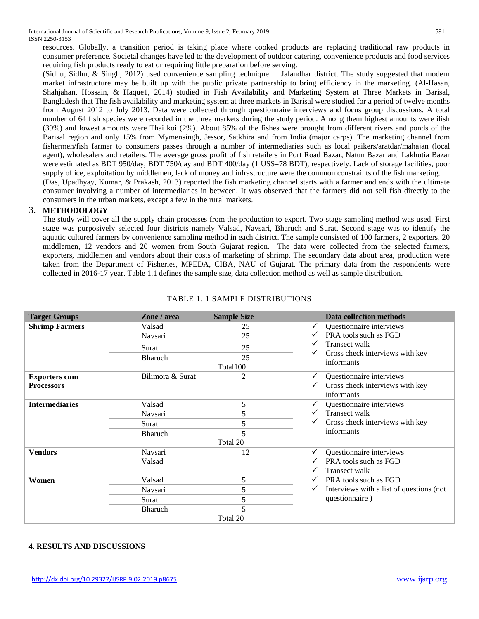resources. Globally, a transition period is taking place where cooked products are replacing traditional raw products in consumer preference. Societal changes have led to the development of outdoor catering, convenience products and food services requiring fish products ready to eat or requiring little preparation before serving.

(Sidhu, Sidhu, & Singh, 2012) used convenience sampling technique in Jalandhar district. The study suggested that modern market infrastructure may be built up with the public private partnership to bring efficiency in the marketing. (Al-Hasan, Shahjahan, Hossain, & Haque1, 2014) studied in Fish Availability and Marketing System at Three Markets in Barisal, Bangladesh that The fish availability and marketing system at three markets in Barisal were studied for a period of twelve months from August 2012 to July 2013. Data were collected through questionnaire interviews and focus group discussions. A total number of 64 fish species were recorded in the three markets during the study period. Among them highest amounts were ilish (39%) and lowest amounts were Thai koi (2%). About 85% of the fishes were brought from different rivers and ponds of the Barisal region and only 15% from Mymensingh, Jessor, Satkhira and from India (major carps). The marketing channel from fishermen/fish farmer to consumers passes through a number of intermediaries such as local paikers/aratdar/mahajan (local agent), wholesalers and retailers. The average gross profit of fish retailers in Port Road Bazar, Natun Bazar and Lakhutia Bazar were estimated as BDT 950/day, BDT 750/day and BDT 400/day (1 US\$=78 BDT), respectively. Lack of storage facilities, poor supply of ice, exploitation by middlemen, lack of money and infrastructure were the common constraints of the fish marketing. (Das, Upadhyay, Kumar, & Prakash, 2013) reported the fish marketing channel starts with a farmer and ends with the ultimate

consumer involving a number of intermediaries in between. It was observed that the farmers did not sell fish directly to the consumers in the urban markets, except a few in the rural markets.

## 3. **METHODOLOGY**

The study will cover all the supply chain processes from the production to export. Two stage sampling method was used. First stage was purposively selected four districts namely Valsad, Navsari, Bharuch and Surat. Second stage was to identify the aquatic cultured farmers by convenience sampling method in each district. The sample consisted of 100 farmers, 2 exporters, 20 middlemen, 12 vendors and 20 women from South Gujarat region. The data were collected from the selected farmers, exporters, middlemen and vendors about their costs of marketing of shrimp. The secondary data about area, production were taken from the Department of Fisheries, MPEDA, CIBA, NAU of Gujarat. The primary data from the respondents were collected in 2016-17 year. Table 1.1 defines the sample size, data collection method as well as sample distribution.

| <b>Target Groups</b>  | Zone / area      | <b>Sample Size</b> | Data collection methods                                  |
|-----------------------|------------------|--------------------|----------------------------------------------------------|
| <b>Shrimp Farmers</b> | Valsad           | 25                 | Questionnaire interviews<br>$\checkmark$                 |
|                       | Navsari          | 25                 | PRA tools such as FGD<br>$\checkmark$                    |
|                       | Surat            | 25                 | Transect walk                                            |
|                       | <b>Bharuch</b>   | 25                 | Cross check interviews with key<br>✓                     |
|                       |                  | Total100           | informants                                               |
| <b>Exporters cum</b>  | Bilimora & Surat | $\overline{c}$     | Questionnaire interviews<br>$\checkmark$                 |
| <b>Processors</b>     |                  |                    | Cross check interviews with key<br>✓<br>informants       |
| <b>Intermediaries</b> | Valsad           | 5                  | Questionnaire interviews<br>✓                            |
|                       | Navsari          | 5                  | <b>Transect walk</b>                                     |
|                       | Surat            | 5                  | Cross check interviews with key<br>✓                     |
|                       | <b>Bharuch</b>   | 5                  | informants                                               |
|                       |                  | Total 20           |                                                          |
| <b>Vendors</b>        | Navsari          | 12                 | Questionnaire interviews<br>$\checkmark$                 |
|                       | Valsad           |                    | PRA tools such as FGD                                    |
|                       |                  |                    | Transect walk<br>$\checkmark$                            |
| Women                 | Valsad           | 5                  | PRA tools such as FGD<br>$\checkmark$                    |
|                       | Navsari          | 5                  | Interviews with a list of questions (not<br>$\checkmark$ |
|                       | Surat            | 5                  | questionnaire)                                           |
|                       | <b>Bharuch</b>   | 5                  |                                                          |
|                       |                  | Total 20           |                                                          |

## TABLE 1. 1 SAMPLE DISTRIBUTIONS

## **4. RESULTS AND DISCUSSIONS**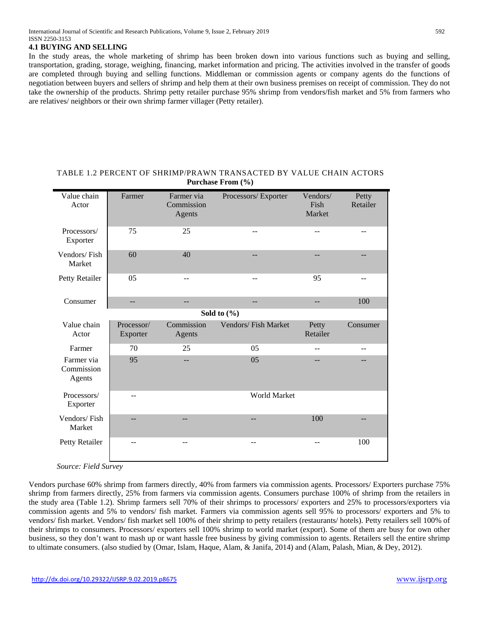## **4.1 BUYING AND SELLING**

In the study areas, the whole marketing of shrimp has been broken down into various functions such as buying and selling, transportation, grading, storage, weighing, financing, market information and pricing. The activities involved in the transfer of goods are completed through buying and selling functions. Middleman or commission agents or company agents do the functions of negotiation between buyers and sellers of shrimp and help them at their own business premises on receipt of commission. They do not take the ownership of the products. Shrimp petty retailer purchase 95% shrimp from vendors/fish market and 5% from farmers who are relatives/ neighbors or their own shrimp farmer villager (Petty retailer).

| Value chain<br>Actor               | Farmer                 | Farmer via<br>Commission<br>Agents | Processors/Exporter | Vendors/<br>Fish<br>Market | Petty<br>Retailer |
|------------------------------------|------------------------|------------------------------------|---------------------|----------------------------|-------------------|
| Processors/<br>Exporter            | 75                     | 25                                 |                     |                            |                   |
| Vendors/Fish<br>Market             | 60                     | 40                                 | $-$                 | --                         | $-$               |
| Petty Retailer                     | 05                     | $-$                                | $-$                 | 95                         | $-$               |
| Consumer                           | $-$                    | --                                 | $-$                 | $-$                        | 100               |
|                                    |                        |                                    | Sold to $(\% )$     |                            |                   |
| Value chain<br>Actor               | Processor/<br>Exporter | Commission<br>Agents               | Vendors/Fish Market | Petty<br>Retailer          | Consumer          |
| Farmer                             | 70                     | 25                                 | 05                  | --                         |                   |
| Farmer via<br>Commission<br>Agents | 95                     | $-$                                | 05                  |                            |                   |
| Processors/<br>Exporter            | $-$                    |                                    | World Market        |                            |                   |
| Vendors/Fish<br>Market             | $-$                    | --                                 | $-$                 | 100                        | --                |
| Petty Retailer                     | --                     | --                                 | $-$                 | --                         | 100               |

## TABLE 1.2 PERCENT OF SHRIMP/PRAWN TRANSACTED BY VALUE CHAIN ACTORS **Purchase From (%)**

*Source: Field Survey*

Vendors purchase 60% shrimp from farmers directly, 40% from farmers via commission agents. Processors/ Exporters purchase 75% shrimp from farmers directly, 25% from farmers via commission agents. Consumers purchase 100% of shrimp from the retailers in the study area (Table 1.2). Shrimp farmers sell 70% of their shrimps to processors/ exporters and 25% to processors/exporters via commission agents and 5% to vendors/ fish market. Farmers via commission agents sell 95% to processors/ exporters and 5% to vendors/ fish market. Vendors/ fish market sell 100% of their shrimp to petty retailers (restaurants/ hotels). Petty retailers sell 100% of their shrimps to consumers. Processors/ exporters sell 100% shrimp to world market (export). Some of them are busy for own other business, so they don't want to mash up or want hassle free business by giving commission to agents. Retailers sell the entire shrimp to ultimate consumers. (also studied by (Omar, Islam, Haque, Alam, & Janifa, 2014) and (Alam, Palash, Mian, & Dey, 2012).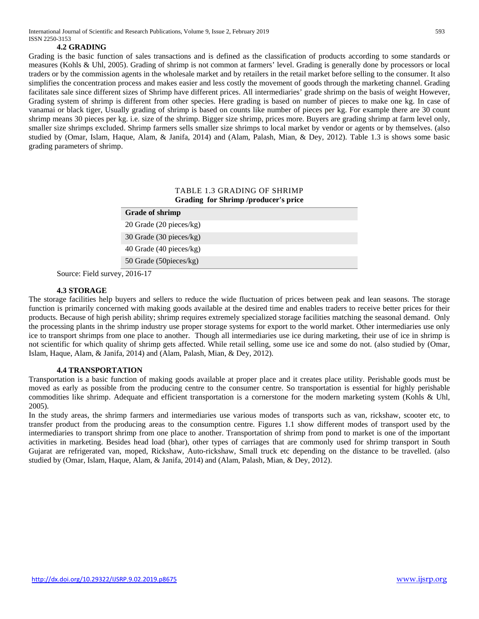#### **4.2 GRADING**

Grading is the basic function of sales transactions and is defined as the classification of products according to some standards or measures (Kohls & Uhl, 2005). Grading of shrimp is not common at farmers' level. Grading is generally done by processors or local traders or by the commission agents in the wholesale market and by retailers in the retail market before selling to the consumer. It also simplifies the concentration process and makes easier and less costly the movement of goods through the marketing channel. Grading facilitates sale since different sizes of Shrimp have different prices. All intermediaries' grade shrimp on the basis of weight However, Grading system of shrimp is different from other species. Here grading is based on number of pieces to make one kg. In case of vanamai or black tiger, Usually grading of shrimp is based on counts like number of pieces per kg. For example there are 30 count shrimp means 30 pieces per kg. i.e. size of the shrimp. Bigger size shrimp, prices more. Buyers are grading shrimp at farm level only, smaller size shrimps excluded. Shrimp farmers sells smaller size shrimps to local market by vendor or agents or by themselves. (also studied by (Omar, Islam, Haque, Alam, & Janifa, 2014) and (Alam, Palash, Mian, & Dey, 2012). Table 1.3 is shows some basic grading parameters of shrimp.

## TABLE 1.3 GRADING OF SHRIMP **Grading for Shrimp /producer's price**

| <b>Grade of shrimp</b>  |  |
|-------------------------|--|
| 20 Grade (20 pieces/kg) |  |
| 30 Grade (30 pieces/kg) |  |
| 40 Grade (40 pieces/kg) |  |
| 50 Grade (50 pieces/kg) |  |

Source: Field survey, 2016-17

#### **4.3 STORAGE**

The storage facilities help buyers and sellers to reduce the wide fluctuation of prices between peak and lean seasons. The storage function is primarily concerned with making goods available at the desired time and enables traders to receive better prices for their products. Because of high perish ability; shrimp requires extremely specialized storage facilities matching the seasonal demand. Only the processing plants in the shrimp industry use proper storage systems for export to the world market. Other intermediaries use only ice to transport shrimps from one place to another. Though all intermediaries use ice during marketing, their use of ice in shrimp is not scientific for which quality of shrimp gets affected. While retail selling, some use ice and some do not. (also studied by (Omar, Islam, Haque, Alam, & Janifa, 2014) and (Alam, Palash, Mian, & Dey, 2012).

## **4.4 TRANSPORTATION**

Transportation is a basic function of making goods available at proper place and it creates place utility. Perishable goods must be moved as early as possible from the producing centre to the consumer centre. So transportation is essential for highly perishable commodities like shrimp. Adequate and efficient transportation is a cornerstone for the modern marketing system (Kohls & Uhl, 2005).

In the study areas, the shrimp farmers and intermediaries use various modes of transports such as van, rickshaw, scooter etc, to transfer product from the producing areas to the consumption centre. Figures 1.1 show different modes of transport used by the intermediaries to transport shrimp from one place to another. Transportation of shrimp from pond to market is one of the important activities in marketing. Besides head load (bhar), other types of carriages that are commonly used for shrimp transport in South Gujarat are refrigerated van, moped, Rickshaw, Auto-rickshaw, Small truck etc depending on the distance to be travelled. (also studied by (Omar, Islam, Haque, Alam, & Janifa, 2014) and (Alam, Palash, Mian, & Dey, 2012).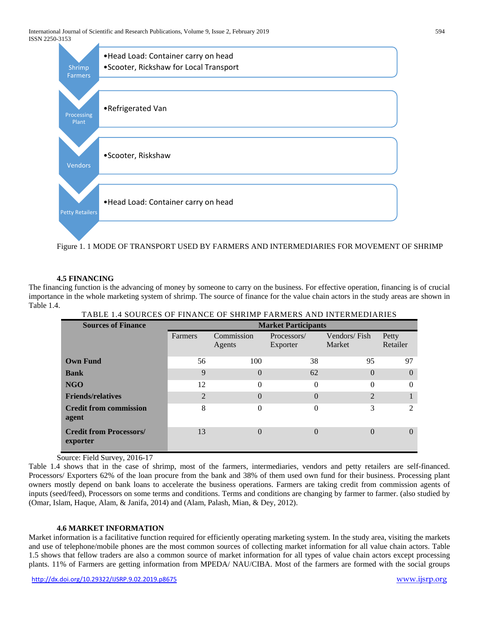

Figure 1. 1 MODE OF TRANSPORT USED BY FARMERS AND INTERMEDIARIES FOR MOVEMENT OF SHRIMP

## **4.5 FINANCING**

The financing function is the advancing of money by someone to carry on the business. For effective operation, financing is of crucial importance in the whole marketing system of shrimp. The source of finance for the value chain actors in the study areas are shown in Table 1.4. NGE OF SUDIMPLEADMENS AND INTERMEDIARIES

| TABLE T.4 SOURCES OF FINANCE OF SHRIMP FARMERS AND INTERMEDIARIES |                            |                      |                         |                        |                   |  |  |
|-------------------------------------------------------------------|----------------------------|----------------------|-------------------------|------------------------|-------------------|--|--|
| <b>Sources of Finance</b>                                         | <b>Market Participants</b> |                      |                         |                        |                   |  |  |
|                                                                   | Farmers                    | Commission<br>Agents | Processors/<br>Exporter | Vendors/Fish<br>Market | Petty<br>Retailer |  |  |
| <b>Own Fund</b>                                                   | 56                         | 100                  | 38                      | 95                     | 97                |  |  |
| <b>Bank</b>                                                       | 9                          | $\theta$             | 62                      | $\Omega$               | $\Omega$          |  |  |
| NGO                                                               | 12                         | $\Omega$             | $\theta$                | $\Omega$               | $\theta$          |  |  |
| <b>Friends/relatives</b>                                          | $\overline{2}$             | $\theta$             | $\theta$                | 2                      |                   |  |  |
| <b>Credit from commission</b><br>agent                            | 8                          | $\theta$             | $\theta$                | 3                      | 2                 |  |  |
| <b>Credit from Processors/</b><br>exporter                        | 13                         | $\Omega$             | $\Omega$                | $\Omega$               | $\Omega$          |  |  |

Source: Field Survey, 2016-17

Table 1.4 shows that in the case of shrimp, most of the farmers, intermediaries, vendors and petty retailers are self-financed. Processors/ Exporters 62% of the loan procure from the bank and 38% of them used own fund for their business. Processing plant owners mostly depend on bank loans to accelerate the business operations. Farmers are taking credit from commission agents of inputs (seed/feed), Processors on some terms and conditions. Terms and conditions are changing by farmer to farmer. (also studied by (Omar, Islam, Haque, Alam, & Janifa, 2014) and (Alam, Palash, Mian, & Dey, 2012).

## **4.6 MARKET INFORMATION**

Market information is a facilitative function required for efficiently operating marketing system. In the study area, visiting the markets and use of telephone/mobile phones are the most common sources of collecting market information for all value chain actors. Table 1.5 shows that fellow traders are also a common source of market information for all types of value chain actors except processing plants. 11% of Farmers are getting information from MPEDA/ NAU/CIBA. Most of the farmers are formed with the social groups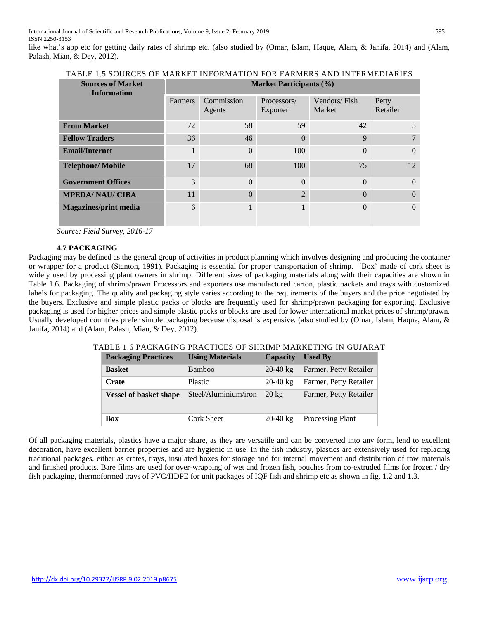like what's app etc for getting daily rates of shrimp etc. (also studied by (Omar, Islam, Haque, Alam, & Janifa, 2014) and (Alam, Palash, Mian, & Dey, 2012).

| <b>Sources of Market</b><br><b>Information</b> | <b>Market Participants (%)</b> |                      |                         |                        |                   |
|------------------------------------------------|--------------------------------|----------------------|-------------------------|------------------------|-------------------|
|                                                | Farmers                        | Commission<br>Agents | Processors/<br>Exporter | Vendors/Fish<br>Market | Petty<br>Retailer |
| <b>From Market</b>                             | 72                             | 58                   | 59                      | 42                     | 5                 |
| <b>Fellow Traders</b>                          | 36                             | 46                   | $\Omega$                | 9                      |                   |
| <b>Email/Internet</b>                          |                                | $\Omega$             | 100                     | $\Omega$               | $\Omega$          |
| <b>Telephone/Mobile</b>                        | 17                             | 68                   | 100                     | 75                     | 12                |
| <b>Government Offices</b>                      | 3                              | $\Omega$             | $\Omega$                | $\Omega$               | $\Omega$          |
| <b>MPEDA/ NAU/ CIBA</b>                        | 11                             | $\Omega$             | $\overline{2}$          | $\theta$               | $\Omega$          |
| <b>Magazines/print media</b>                   | 6                              |                      |                         | $\Omega$               | $\theta$          |

TABLE 1.5 SOURCES OF MARKET INFORMATION FOR FARMERS AND INTERMEDIARIES

*Source: Field Survey, 2016-17*

#### **4.7 PACKAGING**

Packaging may be defined as the general group of activities in product planning which involves designing and producing the container or wrapper for a product (Stanton, 1991). Packaging is essential for proper transportation of shrimp. 'Box' made of cork sheet is widely used by processing plant owners in shrimp. Different sizes of packaging materials along with their capacities are shown in Table 1.6. Packaging of shrimp/prawn Processors and exporters use manufactured carton, plastic packets and trays with customized labels for packaging. The quality and packaging style varies according to the requirements of the buyers and the price negotiated by the buyers. Exclusive and simple plastic packs or blocks are frequently used for shrimp/prawn packaging for exporting. Exclusive packaging is used for higher prices and simple plastic packs or blocks are used for lower international market prices of shrimp/prawn. Usually developed countries prefer simple packaging because disposal is expensive. (also studied by (Omar, Islam, Haque, Alam, & Janifa, 2014) and (Alam, Palash, Mian, & Dey, 2012).

## TABLE 1.6 PACKAGING PRACTICES OF SHRIMP MARKETING IN GUJARAT

| <b>Packaging Practices</b>    | <b>Using Materials</b> | <b>Capacity</b>    | <b>Used By</b>         |
|-------------------------------|------------------------|--------------------|------------------------|
| <b>Basket</b>                 | Bamboo                 | 20-40 $k_{\rm F}$  | Farmer, Petty Retailer |
| <b>Crate</b>                  | <b>Plastic</b>         | $20-40 \text{ kg}$ | Farmer, Petty Retailer |
| <b>Vessel of basket shape</b> | Steel/Aluminium/iron   | $20 \text{ kg}$    | Farmer, Petty Retailer |
| Box                           | Cork Sheet             | $20-40 \text{ kg}$ | Processing Plant       |

Of all packaging materials, plastics have a major share, as they are versatile and can be converted into any form, lend to excellent decoration, have excellent barrier properties and are hygienic in use. In the fish industry, plastics are extensively used for replacing traditional packages, either as crates, trays, insulated boxes for storage and for internal movement and distribution of raw materials and finished products. Bare films are used for over-wrapping of wet and frozen fish, pouches from co-extruded films for frozen / dry fish packaging, thermoformed trays of PVC/HDPE for unit packages of IQF fish and shrimp etc as shown in fig. 1.2 and 1.3.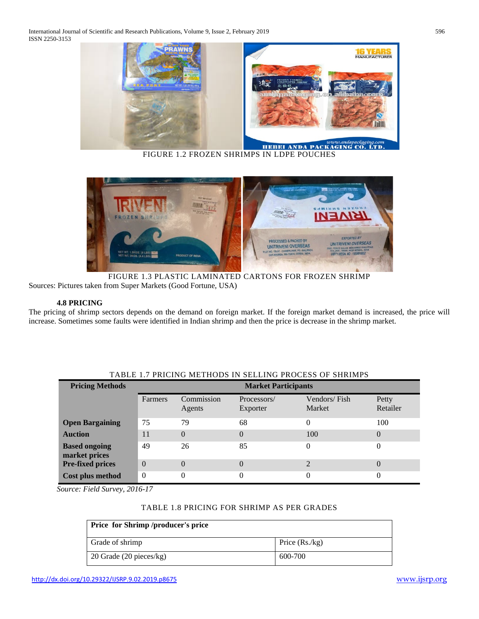International Journal of Scientific and Research Publications, Volume 9, Issue 2, February 2019 596 ISSN 2250-3153



FIGURE 1.2 FROZEN SHRIMPS IN LDPE POUCHES



FIGURE 1.3 PLASTIC LAMINATED CARTONS FOR FROZEN SHRIMP Sources: Pictures taken from Super Markets (Good Fortune, USA)

## **4.8 PRICING**

The pricing of shrimp sectors depends on the demand on foreign market. If the foreign market demand is increased, the price will increase. Sometimes some faults were identified in Indian shrimp and then the price is decrease in the shrimp market.

| <b>Pricing Methods</b>                | <b>Market Participants</b> |                      |                         |                        |                   |  |
|---------------------------------------|----------------------------|----------------------|-------------------------|------------------------|-------------------|--|
|                                       | Farmers                    | Commission<br>Agents | Processors/<br>Exporter | Vendors/Fish<br>Market | Petty<br>Retailer |  |
| <b>Open Bargaining</b>                | 75                         | 79                   | 68                      | 0                      | 100               |  |
| <b>Auction</b>                        | 11                         | $\Omega$             | $\Omega$                | 100                    | 0                 |  |
| <b>Based ongoing</b><br>market prices | 49                         | 26                   | 85                      | $\Omega$               | $\theta$          |  |
| <b>Pre-fixed prices</b>               | $\Omega$                   | $\Omega$             | $\Omega$                |                        | $\overline{0}$    |  |
| Cost plus method                      | $\theta$                   | $\theta$             |                         |                        |                   |  |

## TABLE 1.7 PRICING METHODS IN SELLING PROCESS OF SHRIMPS

*Source: Field Survey, 2016-17*

## TABLE 1.8 PRICING FOR SHRIMP AS PER GRADES

| <b>Price for Shrimp /producer's price</b> |                  |  |  |  |
|-------------------------------------------|------------------|--|--|--|
| Grade of shrimp                           | Price $(Rs./kg)$ |  |  |  |
| 20 Grade $(20 \text{ pieces/kg})$         | 600-700          |  |  |  |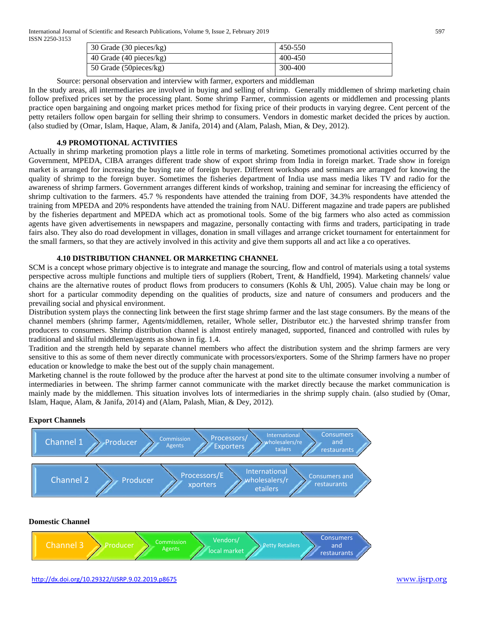International Journal of Scientific and Research Publications, Volume 9, Issue 2, February 2019 597 ISSN 2250-3153

| 30 Grade (30 pieces/kg)   | 450-550 |
|---------------------------|---------|
| 40 Grade $(40$ pieces/kg) | 400-450 |
| 50 Grade (50 pieces/kg)   | 300-400 |

Source: personal observation and interview with farmer, exporters and middleman

In the study areas, all intermediaries are involved in buying and selling of shrimp. Generally middlemen of shrimp marketing chain follow prefixed prices set by the processing plant. Some shrimp Farmer, commission agents or middlemen and processing plants practice open bargaining and ongoing market prices method for fixing price of their products in varying degree. Cent percent of the petty retailers follow open bargain for selling their shrimp to consumers. Vendors in domestic market decided the prices by auction. (also studied by (Omar, Islam, Haque, Alam, & Janifa, 2014) and (Alam, Palash, Mian, & Dey, 2012).

## **4.9 PROMOTIONAL ACTIVITIES**

Actually in shrimp marketing promotion plays a little role in terms of marketing. Sometimes promotional activities occurred by the Government, MPEDA, CIBA arranges different trade show of export shrimp from India in foreign market. Trade show in foreign market is arranged for increasing the buying rate of foreign buyer. Different workshops and seminars are arranged for knowing the quality of shrimp to the foreign buyer. Sometimes the fisheries department of India use mass media likes TV and radio for the awareness of shrimp farmers. Government arranges different kinds of workshop, training and seminar for increasing the efficiency of shrimp cultivation to the farmers. 45.7 % respondents have attended the training from DOF, 34.3% respondents have attended the training from MPEDA and 20% respondents have attended the training from NAU. Different magazine and trade papers are published by the fisheries department and MPEDA which act as promotional tools. Some of the big farmers who also acted as commission agents have given advertisements in newspapers and magazine, personally contacting with firms and traders, participating in trade fairs also. They also do road development in villages, donation in small villages and arrange cricket tournament for entertainment for the small farmers, so that they are actively involved in this activity and give them supports all and act like a co operatives.

## **4.10 DISTRIBUTION CHANNEL OR MARKETING CHANNEL**

SCM is a concept whose primary objective is to integrate and manage the sourcing, flow and control of materials using a total systems perspective across multiple functions and multiple tiers of suppliers (Robert, Trent, & Handfield, 1994). Marketing channels/ value chains are the alternative routes of product flows from producers to consumers (Kohls & Uhl, 2005). Value chain may be long or short for a particular commodity depending on the qualities of products, size and nature of consumers and producers and the prevailing social and physical environment.

Distribution system plays the connecting link between the first stage shrimp farmer and the last stage consumers. By the means of the channel members (shrimp farmer, Agents/middlemen, retailer, Whole seller, Distributor etc.) the harvested shrimp transfer from producers to consumers. Shrimp distribution channel is almost entirely managed, supported, financed and controlled with rules by traditional and skilful middlemen/agents as shown in fig. 1.4.

Tradition and the strength held by separate channel members who affect the distribution system and the shrimp farmers are very sensitive to this as some of them never directly communicate with processors/exporters. Some of the Shrimp farmers have no proper education or knowledge to make the best out of the supply chain management.

Marketing channel is the route followed by the produce after the harvest at pond site to the ultimate consumer involving a number of intermediaries in between. The shrimp farmer cannot communicate with the market directly because the market communication is mainly made by the middlemen. This situation involves lots of intermediaries in the shrimp supply chain. (also studied by (Omar, Islam, Haque, Alam, & Janifa, 2014) and (Alam, Palash, Mian, & Dey, 2012).

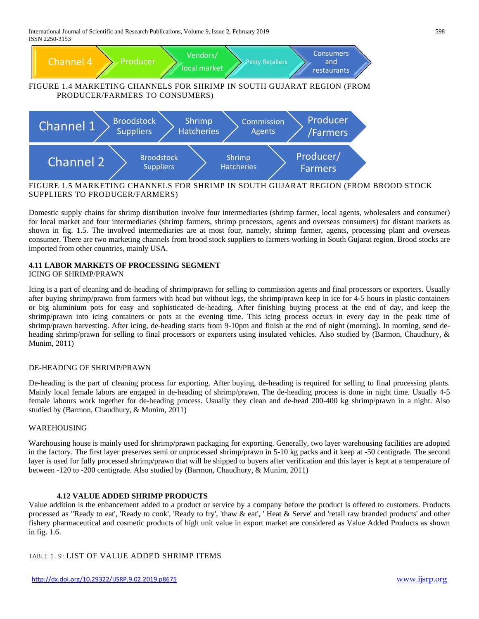International Journal of Scientific and Research Publications, Volume 9, Issue 2, February 2019 598 ISSN 2250-3153



FIGURE 1.5 MARKETING CHANNELS FOR SHRIMP IN SOUTH GUJARAT REGION (FROM BROOD STOCK SUPPLIERS TO PRODUCER/FARMERS)

Domestic supply chains for shrimp distribution involve four intermediaries (shrimp farmer, local agents, wholesalers and consumer) for local market and four intermediaries (shrimp farmers, shrimp processors, agents and overseas consumers) for distant markets as shown in fig. 1.5. The involved intermediaries are at most four, namely, shrimp farmer, agents, processing plant and overseas consumer. There are two marketing channels from brood stock suppliers to farmers working in South Gujarat region. Brood stocks are imported from other countries, mainly USA.

## **4.11 LABOR MARKETS OF PROCESSING SEGMENT**

ICING OF SHRIMP/PRAWN

Icing is a part of cleaning and de-heading of shrimp/prawn for selling to commission agents and final processors or exporters. Usually after buying shrimp/prawn from farmers with head but without legs, the shrimp/prawn keep in ice for 4-5 hours in plastic containers or big aluminium pots for easy and sophisticated de-heading. After finishing buying process at the end of day, and keep the shrimp/prawn into icing containers or pots at the evening time. This icing process occurs in every day in the peak time of shrimp/prawn harvesting. After icing, de-heading starts from 9-10pm and finish at the end of night (morning). In morning, send deheading shrimp/prawn for selling to final processors or exporters using insulated vehicles. Also studied by (Barmon, Chaudhury, & Munim, 2011)

## DE-HEADING OF SHRIMP/PRAWN

De-heading is the part of cleaning process for exporting. After buying, de-heading is required for selling to final processing plants. Mainly local female labors are engaged in de-heading of shrimp/prawn. The de-heading process is done in night time. Usually 4-5 female labours work together for de-heading process. Usually they clean and de-head 200-400 kg shrimp/prawn in a night. Also studied by (Barmon, Chaudhury, & Munim, 2011)

#### WAREHOUSING

Warehousing house is mainly used for shrimp/prawn packaging for exporting. Generally, two layer warehousing facilities are adopted in the factory. The first layer preserves semi or unprocessed shrimp/prawn in 5-10 kg packs and it keep at -50 centigrade. The second layer is used for fully processed shrimp/prawn that will be shipped to buyers after verification and this layer is kept at a temperature of between -120 to -200 centigrade. Also studied by (Barmon, Chaudhury, & Munim, 2011)

## **4.12 VALUE ADDED SHRIMP PRODUCTS**

Value addition is the enhancement added to a product or service by a company before the product is offered to customers. Products processed as "Ready to eat', 'Ready to cook', 'Ready to fry', 'thaw & eat', ' Heat & Serve' and 'retail raw branded products' and other fishery pharmaceutical and cosmetic products of high unit value in export market are considered as Value Added Products as shown in fig. 1.6.

TABLE 1. 9: LIST OF VALUE ADDED SHRIMP ITEMS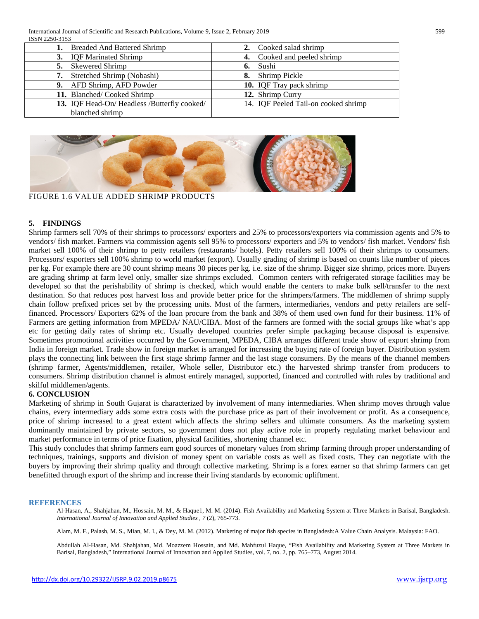| <b>Breaded And Battered Shrimp</b>          | Cooked salad shrimp                  |
|---------------------------------------------|--------------------------------------|
| 3. IQF Marinated Shrimp                     | 4. Cooked and peeled shrimp          |
| <b>Skewered Shrimp</b><br>5.                | Sushi<br>6.                          |
| Stretched Shrimp (Nobashi)                  | Shrimp Pickle<br>8.                  |
| 9. AFD Shrimp, AFD Powder                   | 10. IQF Tray pack shrimp             |
| 11. Blanched/Cooked Shrimp                  | 12. Shrimp Curry                     |
| 13. IQF Head-On/Headless /Butterfly cooked/ | 14. IQF Peeled Tail-on cooked shrimp |
| blanched shrimp                             |                                      |



FIGURE 1.6 VALUE ADDED SHRIMP PRODUCTS

## **5. FINDINGS**

Shrimp farmers sell 70% of their shrimps to processors/ exporters and 25% to processors/exporters via commission agents and 5% to vendors/ fish market. Farmers via commission agents sell 95% to processors/ exporters and 5% to vendors/ fish market. Vendors/ fish market sell 100% of their shrimp to petty retailers (restaurants/ hotels). Petty retailers sell 100% of their shrimps to consumers. Processors/ exporters sell 100% shrimp to world market (export). Usually grading of shrimp is based on counts like number of pieces per kg. For example there are 30 count shrimp means 30 pieces per kg. i.e. size of the shrimp. Bigger size shrimp, prices more. Buyers are grading shrimp at farm level only, smaller size shrimps excluded. Common centers with refrigerated storage facilities may be developed so that the perishability of shrimp is checked, which would enable the centers to make bulk sell/transfer to the next destination. So that reduces post harvest loss and provide better price for the shrimpers/farmers. The middlemen of shrimp supply chain follow prefixed prices set by the processing units. Most of the farmers, intermediaries, vendors and petty retailers are selffinanced. Processors/ Exporters 62% of the loan procure from the bank and 38% of them used own fund for their business. 11% of Farmers are getting information from MPEDA/ NAU/CIBA. Most of the farmers are formed with the social groups like what's app etc for getting daily rates of shrimp etc. Usually developed countries prefer simple packaging because disposal is expensive. Sometimes promotional activities occurred by the Government, MPEDA, CIBA arranges different trade show of export shrimp from India in foreign market. Trade show in foreign market is arranged for increasing the buying rate of foreign buyer. Distribution system plays the connecting link between the first stage shrimp farmer and the last stage consumers. By the means of the channel members (shrimp farmer, Agents/middlemen, retailer, Whole seller, Distributor etc.) the harvested shrimp transfer from producers to consumers. Shrimp distribution channel is almost entirely managed, supported, financed and controlled with rules by traditional and skilful middlemen/agents.

#### **6. CONCLUSION**

Marketing of shrimp in South Gujarat is characterized by involvement of many intermediaries. When shrimp moves through value chains, every intermediary adds some extra costs with the purchase price as part of their involvement or profit. As a consequence, price of shrimp increased to a great extent which affects the shrimp sellers and ultimate consumers. As the marketing system dominantly maintained by private sectors, so government does not play active role in properly regulating market behaviour and market performance in terms of price fixation, physical facilities, shortening channel etc.

This study concludes that shrimp farmers earn good sources of monetary values from shrimp farming through proper understanding of techniques, trainings, supports and division of money spent on variable costs as well as fixed costs. They can negotiate with the buyers by improving their shrimp quality and through collective marketing. Shrimp is a forex earner so that shrimp farmers can get benefitted through export of the shrimp and increase their living standards by economic upliftment.

#### **REFERENCES**

Al-Hasan, A., Shahjahan, M., Hossain, M. M., & Haque1, M. M. (2014). Fish Availability and Marketing System at Three Markets in Barisal, Bangladesh. *International Journal of Innovation and Applied Studies , 7* (2), 765-773.

Alam, M. F., Palash, M. S., Mian, M. I., & Dey, M. M. (2012). Marketing of major fish species in Bangladesh:A Value Chain Analysis. Malaysia: FAO.

Abdullah Al-Hasan, Md. Shahjahan, Md. Moazzem Hossain, and Md. Mahfuzul Haque, "Fish Availability and Marketing System at Three Markets in Barisal, Bangladesh," International Journal of Innovation and Applied Studies, vol. 7, no. 2, pp. 765–773, August 2014.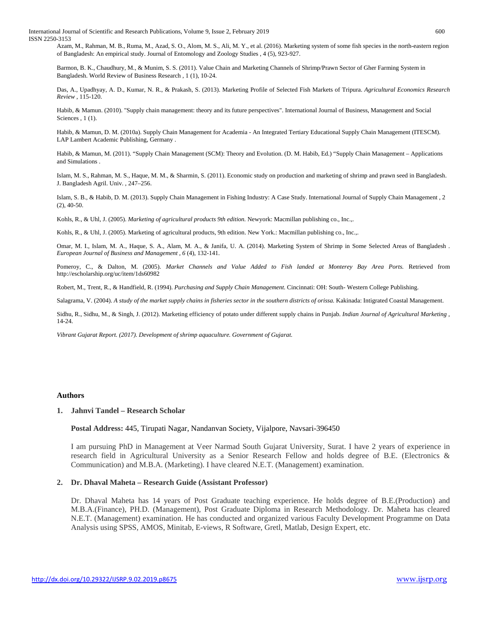International Journal of Scientific and Research Publications, Volume 9, Issue 2, February 2019 600 ISSN 2250-3153

Azam, M., Rahman, M. B., Ruma, M., Azad, S. O., Alom, M. S., Ali, M. Y., et al. (2016). Marketing system of some fish species in the north-eastern region of Bangladesh: An empirical study. Journal of Entomology and Zoology Studies , 4 (5), 923-927.

Barmon, B. K., Chaudhury, M., & Munim, S. S. (2011). Value Chain and Marketing Channels of Shrimp/Prawn Sector of Gher Farming System in Bangladesh. World Review of Business Research , 1 (1), 10-24.

Das, A., Upadhyay, A. D., Kumar, N. R., & Prakash, S. (2013). Marketing Profile of Selected Fish Markets of Tripura. *Agricultural Economics Research Review* , 115-120.

Habib, & Mamun. (2010). "Supply chain management: theory and its future perspectives". International Journal of Business, Management and Social Sciences, 1(1).

Habib, & Mamun, D. M. (2010a). Supply Chain Management for Academia - An Integrated Tertiary Educational Supply Chain Management (ITESCM). LAP Lambert Academic Publishing, Germany .

Habib, & Mamun, M. (2011). "Supply Chain Management (SCM): Theory and Evolution. (D. M. Habib, Ed.) "Supply Chain Management – Applications and Simulations .

Islam, M. S., Rahman, M. S., Haque, M. M., & Sharmin, S. (2011). Economic study on production and marketing of shrimp and prawn seed in Bangladesh. J. Bangladesh Agril. Univ. , 247–256.

Islam, S. B., & Habib, D. M. (2013). Supply Chain Management in Fishing Industry: A Case Study. International Journal of Supply Chain Management , 2 (2), 40-50.

Kohls, R., & Uhl, J. (2005). *Marketing of agricultural products 9th edition.* Newyork: Macmillan publishing co., Inc.,.

Kohls, R., & Uhl, J. (2005). Marketing of agricultural products, 9th edition. New York.: Macmillan publishing co., Inc.,.

Omar, M. I., Islam, M. A., Haque, S. A., Alam, M. A., & Janifa, U. A. (2014). Marketing System of Shrimp in Some Selected Areas of Bangladesh . *European Journal of Business and Management , 6* (4), 132-141.

Pomeroy, C., & Dalton, M. (2005). *Market Channels and Value Added to Fish landed at Monterey Bay Area Ports.* Retrieved from http://escholarship.org/uc/item/1ds60982

Robert, M., Trent, R., & Handfield, R. (1994). *Purchasing and Supply Chain Management.* Cincinnati: OH: South- Western College Publishing.

Salagrama, V. (2004). *A study of the market supply chains in fisheries sector in the southern districts of orissa.* Kakinada: Intigrated Coastal Management.

Sidhu, R., Sidhu, M., & Singh, J. (2012). Marketing efficiency of potato under different supply chains in Punjab. *Indian Journal of Agricultural Marketing* , 14-24.

*Vibrant Gujarat Report. (2017). Development of shrimp aquaculture. Government of Gujarat.*

#### **Authors**

#### **1. Jahnvi Tandel – Research Scholar**

**Postal Address:** 445, Tirupati Nagar, Nandanvan Society, Vijalpore, Navsari-396450

I am pursuing PhD in Management at Veer Narmad South Gujarat University, Surat. I have 2 years of experience in research field in Agricultural University as a Senior Research Fellow and holds degree of B.E. (Electronics & Communication) and M.B.A. (Marketing). I have cleared N.E.T. (Management) examination.

#### **2. Dr. Dhaval Maheta – Research Guide (Assistant Professor)**

Dr. Dhaval Maheta has 14 years of Post Graduate teaching experience. He holds degree of B.E.(Production) and M.B.A.(Finance), PH.D. (Management), Post Graduate Diploma in Research Methodology. Dr. Maheta has cleared N.E.T. (Management) examination. He has conducted and organized various Faculty Development Programme on Data Analysis using SPSS, AMOS, Minitab, E-views, R Software, Gretl, Matlab, Design Expert, etc.